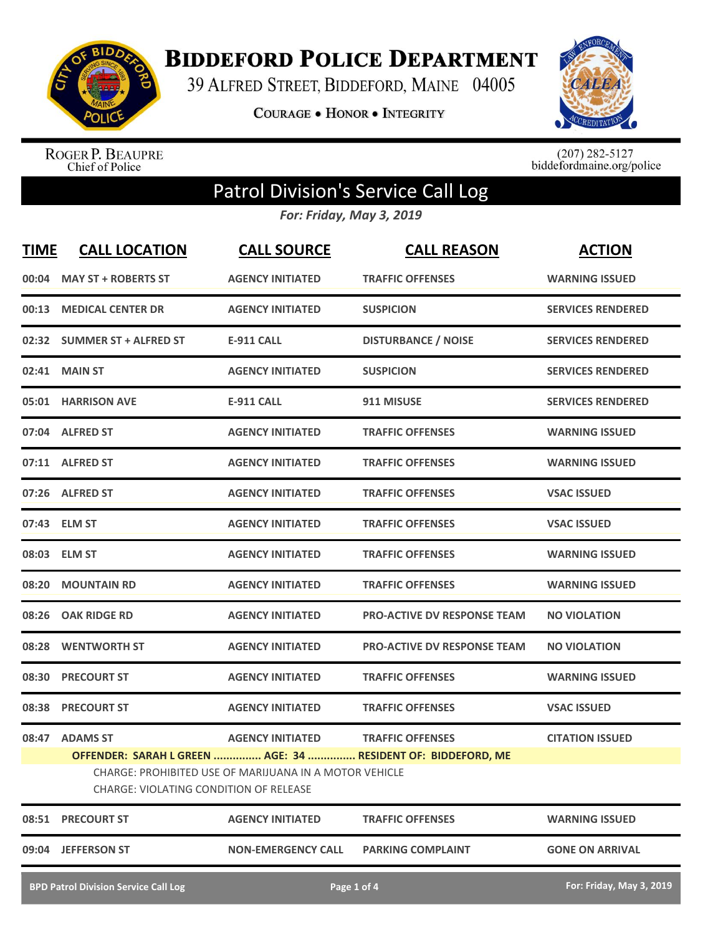

**BIDDEFORD POLICE DEPARTMENT** 

39 ALFRED STREET, BIDDEFORD, MAINE 04005

COURAGE . HONOR . INTEGRITY



ROGER P. BEAUPRE<br>Chief of Police

 $(207)$  282-5127<br>biddefordmaine.org/police

## Patrol Division's Service Call Log

*For: Friday, May 3, 2019*

| <b>TIME</b>                                                                                      | <b>CALL LOCATION</b>        | <b>CALL SOURCE</b>        | <b>CALL REASON</b>                                           | <b>ACTION</b>            |  |  |
|--------------------------------------------------------------------------------------------------|-----------------------------|---------------------------|--------------------------------------------------------------|--------------------------|--|--|
| 00:04                                                                                            | <b>MAY ST + ROBERTS ST</b>  | <b>AGENCY INITIATED</b>   | <b>TRAFFIC OFFENSES</b>                                      | <b>WARNING ISSUED</b>    |  |  |
| 00:13                                                                                            | <b>MEDICAL CENTER DR</b>    | <b>AGENCY INITIATED</b>   | <b>SUSPICION</b>                                             | <b>SERVICES RENDERED</b> |  |  |
|                                                                                                  | 02:32 SUMMER ST + ALFRED ST | <b>E-911 CALL</b>         | <b>DISTURBANCE / NOISE</b>                                   | <b>SERVICES RENDERED</b> |  |  |
|                                                                                                  | 02:41 MAIN ST               | <b>AGENCY INITIATED</b>   | <b>SUSPICION</b>                                             | <b>SERVICES RENDERED</b> |  |  |
|                                                                                                  | 05:01 HARRISON AVE          | <b>E-911 CALL</b>         | 911 MISUSE                                                   | <b>SERVICES RENDERED</b> |  |  |
|                                                                                                  | 07:04 ALFRED ST             | <b>AGENCY INITIATED</b>   | <b>TRAFFIC OFFENSES</b>                                      | <b>WARNING ISSUED</b>    |  |  |
|                                                                                                  | 07:11 ALFRED ST             | <b>AGENCY INITIATED</b>   | <b>TRAFFIC OFFENSES</b>                                      | <b>WARNING ISSUED</b>    |  |  |
|                                                                                                  | 07:26 ALFRED ST             | <b>AGENCY INITIATED</b>   | <b>TRAFFIC OFFENSES</b>                                      | <b>VSAC ISSUED</b>       |  |  |
|                                                                                                  | 07:43 ELM ST                | <b>AGENCY INITIATED</b>   | <b>TRAFFIC OFFENSES</b>                                      | <b>VSAC ISSUED</b>       |  |  |
|                                                                                                  | 08:03 ELM ST                | <b>AGENCY INITIATED</b>   | <b>TRAFFIC OFFENSES</b>                                      | <b>WARNING ISSUED</b>    |  |  |
|                                                                                                  | 08:20 MOUNTAIN RD           | <b>AGENCY INITIATED</b>   | <b>TRAFFIC OFFENSES</b>                                      | <b>WARNING ISSUED</b>    |  |  |
| 08:26                                                                                            | <b>OAK RIDGE RD</b>         | <b>AGENCY INITIATED</b>   | <b>PRO-ACTIVE DV RESPONSE TEAM</b>                           | <b>NO VIOLATION</b>      |  |  |
| 08:28                                                                                            | <b>WENTWORTH ST</b>         | <b>AGENCY INITIATED</b>   | <b>PRO-ACTIVE DV RESPONSE TEAM</b>                           | <b>NO VIOLATION</b>      |  |  |
| 08:30                                                                                            | <b>PRECOURT ST</b>          | <b>AGENCY INITIATED</b>   | <b>TRAFFIC OFFENSES</b>                                      | <b>WARNING ISSUED</b>    |  |  |
| 08:38                                                                                            | <b>PRECOURT ST</b>          | <b>AGENCY INITIATED</b>   | <b>TRAFFIC OFFENSES</b>                                      | <b>VSAC ISSUED</b>       |  |  |
| 08:47                                                                                            | <b>ADAMS ST</b>             | <b>AGENCY INITIATED</b>   | <b>TRAFFIC OFFENSES</b>                                      | <b>CITATION ISSUED</b>   |  |  |
|                                                                                                  |                             |                           | OFFENDER: SARAH L GREEN  AGE: 34  RESIDENT OF: BIDDEFORD, ME |                          |  |  |
| CHARGE: PROHIBITED USE OF MARIJUANA IN A MOTOR VEHICLE<br>CHARGE: VIOLATING CONDITION OF RELEASE |                             |                           |                                                              |                          |  |  |
| 08:51                                                                                            | <b>PRECOURT ST</b>          | <b>AGENCY INITIATED</b>   | <b>TRAFFIC OFFENSES</b>                                      | <b>WARNING ISSUED</b>    |  |  |
| 09:04                                                                                            | <b>JEFFERSON ST</b>         | <b>NON-EMERGENCY CALL</b> | <b>PARKING COMPLAINT</b>                                     | <b>GONE ON ARRIVAL</b>   |  |  |
| <b>BPD Patrol Division Service Call Log</b>                                                      |                             |                           | Page 1 of 4                                                  | For: Friday, May 3, 2019 |  |  |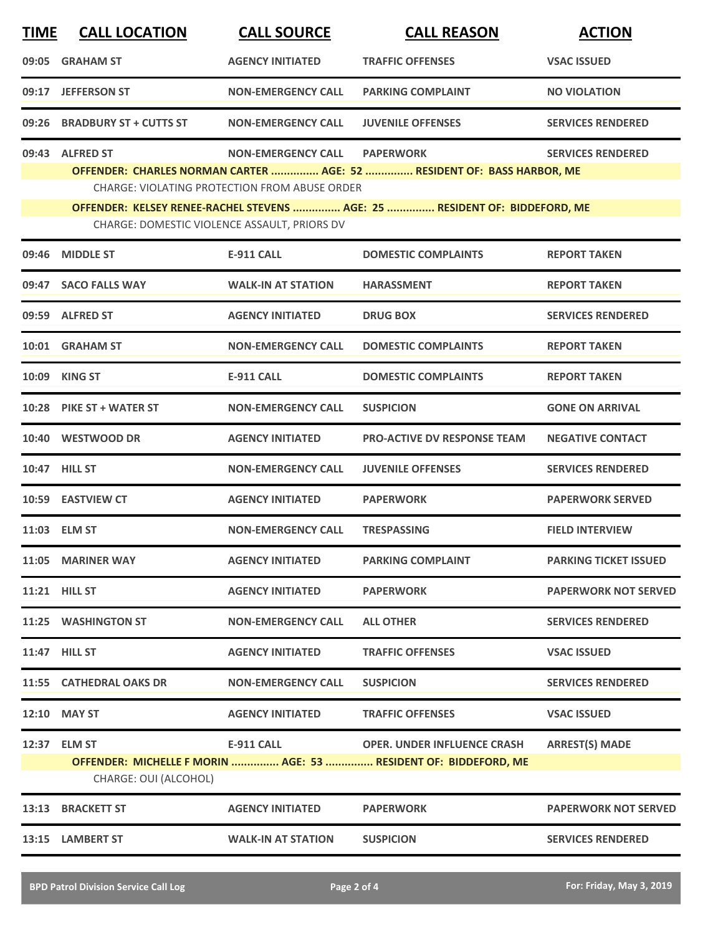| <b>TIME</b> | <b>CALL LOCATION</b>                                                                                                                                                                                                                                                                                                                                         | <b>CALL SOURCE</b>        | <b>CALL REASON</b>                                                                                    | <b>ACTION</b>                |  |  |
|-------------|--------------------------------------------------------------------------------------------------------------------------------------------------------------------------------------------------------------------------------------------------------------------------------------------------------------------------------------------------------------|---------------------------|-------------------------------------------------------------------------------------------------------|------------------------------|--|--|
| 09:05       | <b>GRAHAM ST</b>                                                                                                                                                                                                                                                                                                                                             | <b>AGENCY INITIATED</b>   | <b>TRAFFIC OFFENSES</b>                                                                               | <b>VSAC ISSUED</b>           |  |  |
| 09:17       | <b>JEFFERSON ST</b>                                                                                                                                                                                                                                                                                                                                          | <b>NON-EMERGENCY CALL</b> | <b>PARKING COMPLAINT</b>                                                                              | <b>NO VIOLATION</b>          |  |  |
| 09:26       | <b>BRADBURY ST + CUTTS ST</b>                                                                                                                                                                                                                                                                                                                                | <b>NON-EMERGENCY CALL</b> | <b>JUVENILE OFFENSES</b>                                                                              | <b>SERVICES RENDERED</b>     |  |  |
|             | 09:43 ALFRED ST<br><b>NON-EMERGENCY CALL</b><br><b>PAPERWORK</b><br><b>SERVICES RENDERED</b><br>OFFENDER: CHARLES NORMAN CARTER  AGE: 52  RESIDENT OF: BASS HARBOR, ME<br><b>CHARGE: VIOLATING PROTECTION FROM ABUSE ORDER</b><br>OFFENDER: KELSEY RENEE-RACHEL STEVENS  AGE: 25  RESIDENT OF: BIDDEFORD, ME<br>CHARGE: DOMESTIC VIOLENCE ASSAULT, PRIORS DV |                           |                                                                                                       |                              |  |  |
| 09:46       | <b>MIDDLE ST</b>                                                                                                                                                                                                                                                                                                                                             | <b>E-911 CALL</b>         | <b>DOMESTIC COMPLAINTS</b>                                                                            | <b>REPORT TAKEN</b>          |  |  |
|             | 09:47 SACO FALLS WAY                                                                                                                                                                                                                                                                                                                                         | <b>WALK-IN AT STATION</b> | <b>HARASSMENT</b>                                                                                     | <b>REPORT TAKEN</b>          |  |  |
|             | 09:59 ALFRED ST                                                                                                                                                                                                                                                                                                                                              | <b>AGENCY INITIATED</b>   | <b>DRUG BOX</b>                                                                                       | <b>SERVICES RENDERED</b>     |  |  |
|             | 10:01 GRAHAM ST                                                                                                                                                                                                                                                                                                                                              | <b>NON-EMERGENCY CALL</b> | <b>DOMESTIC COMPLAINTS</b>                                                                            | <b>REPORT TAKEN</b>          |  |  |
| 10:09       | <b>KING ST</b>                                                                                                                                                                                                                                                                                                                                               | <b>E-911 CALL</b>         | <b>DOMESTIC COMPLAINTS</b>                                                                            | <b>REPORT TAKEN</b>          |  |  |
|             | 10:28 PIKE ST + WATER ST                                                                                                                                                                                                                                                                                                                                     | <b>NON-EMERGENCY CALL</b> | <b>SUSPICION</b>                                                                                      | <b>GONE ON ARRIVAL</b>       |  |  |
|             | 10:40 WESTWOOD DR                                                                                                                                                                                                                                                                                                                                            | <b>AGENCY INITIATED</b>   | <b>PRO-ACTIVE DV RESPONSE TEAM</b>                                                                    | <b>NEGATIVE CONTACT</b>      |  |  |
|             | 10:47 HILL ST                                                                                                                                                                                                                                                                                                                                                | <b>NON-EMERGENCY CALL</b> | <b>JUVENILE OFFENSES</b>                                                                              | <b>SERVICES RENDERED</b>     |  |  |
|             | 10:59 EASTVIEW CT                                                                                                                                                                                                                                                                                                                                            | <b>AGENCY INITIATED</b>   | <b>PAPERWORK</b>                                                                                      | <b>PAPERWORK SERVED</b>      |  |  |
|             | 11:03 ELM ST                                                                                                                                                                                                                                                                                                                                                 | <b>NON-EMERGENCY CALL</b> | <b>TRESPASSING</b>                                                                                    | <b>FIELD INTERVIEW</b>       |  |  |
|             | 11:05 MARINER WAY                                                                                                                                                                                                                                                                                                                                            | <b>AGENCY INITIATED</b>   | <b>PARKING COMPLAINT</b>                                                                              | <b>PARKING TICKET ISSUED</b> |  |  |
|             | 11:21 HILL ST                                                                                                                                                                                                                                                                                                                                                | <b>AGENCY INITIATED</b>   | <b>PAPERWORK</b>                                                                                      | <b>PAPERWORK NOT SERVED</b>  |  |  |
|             | 11:25 WASHINGTON ST                                                                                                                                                                                                                                                                                                                                          | <b>NON-EMERGENCY CALL</b> | <b>ALL OTHER</b>                                                                                      | <b>SERVICES RENDERED</b>     |  |  |
|             | <b>11:47 HILL ST</b>                                                                                                                                                                                                                                                                                                                                         | <b>AGENCY INITIATED</b>   | <b>TRAFFIC OFFENSES</b>                                                                               | <b>VSAC ISSUED</b>           |  |  |
|             | 11:55 CATHEDRAL OAKS DR                                                                                                                                                                                                                                                                                                                                      | <b>NON-EMERGENCY CALL</b> | <b>SUSPICION</b>                                                                                      | <b>SERVICES RENDERED</b>     |  |  |
|             | 12:10 MAY ST                                                                                                                                                                                                                                                                                                                                                 | <b>AGENCY INITIATED</b>   | <b>TRAFFIC OFFENSES</b>                                                                               | <b>VSAC ISSUED</b>           |  |  |
|             | 12:37 ELM ST<br>CHARGE: OUI (ALCOHOL)                                                                                                                                                                                                                                                                                                                        | <b>E-911 CALL</b>         | <b>OPER. UNDER INFLUENCE CRASH</b><br>OFFENDER: MICHELLE F MORIN  AGE: 53  RESIDENT OF: BIDDEFORD, ME | <b>ARREST(S) MADE</b>        |  |  |
|             | 13:13 BRACKETT ST                                                                                                                                                                                                                                                                                                                                            | <b>AGENCY INITIATED</b>   | <b>PAPERWORK</b>                                                                                      | <b>PAPERWORK NOT SERVED</b>  |  |  |
|             | 13:15 LAMBERT ST                                                                                                                                                                                                                                                                                                                                             | <b>WALK-IN AT STATION</b> | <b>SUSPICION</b>                                                                                      | <b>SERVICES RENDERED</b>     |  |  |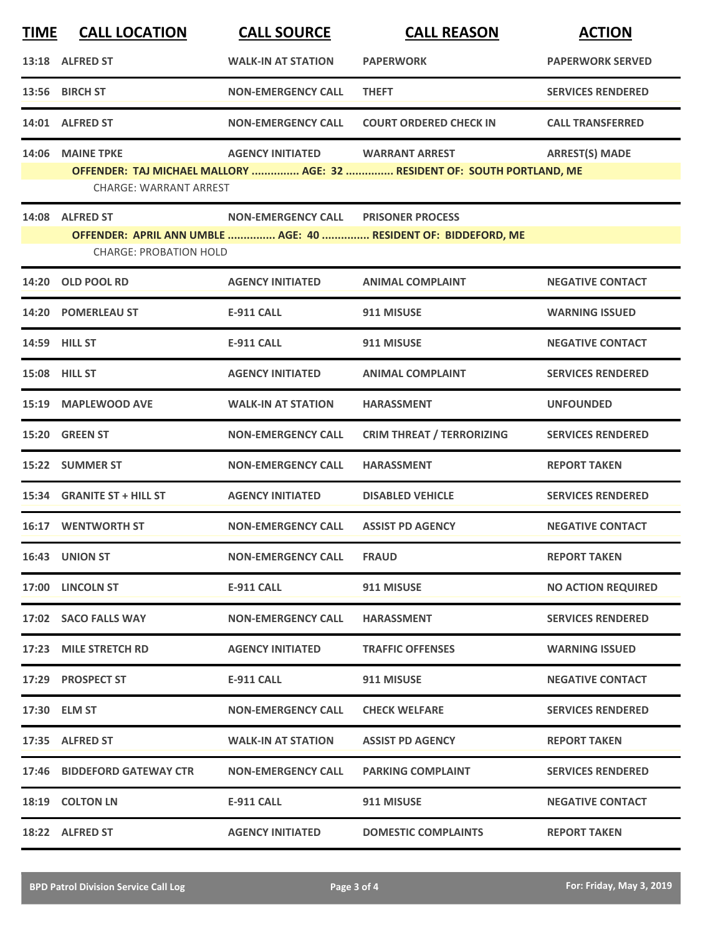| <b>TIME</b> | <b>CALL LOCATION</b>          | <b>CALL SOURCE</b>        | <b>CALL REASON</b>                                                      | <b>ACTION</b>             |
|-------------|-------------------------------|---------------------------|-------------------------------------------------------------------------|---------------------------|
|             | 13:18 ALFRED ST               | <b>WALK-IN AT STATION</b> | <b>PAPERWORK</b>                                                        | <b>PAPERWORK SERVED</b>   |
|             | 13:56 BIRCH ST                | <b>NON-EMERGENCY CALL</b> | <b>THEFT</b>                                                            | <b>SERVICES RENDERED</b>  |
|             | 14:01 ALFRED ST               | <b>NON-EMERGENCY CALL</b> | <b>COURT ORDERED CHECK IN</b>                                           | <b>CALL TRANSFERRED</b>   |
| 14:06       | <b>MAINE TPKE</b>             | <b>AGENCY INITIATED</b>   | <b>WARRANT ARREST</b>                                                   | <b>ARREST(S) MADE</b>     |
|             | <b>CHARGE: WARRANT ARREST</b> |                           | OFFENDER: TAJ MICHAEL MALLORY  AGE: 32  RESIDENT OF: SOUTH PORTLAND, ME |                           |
|             | 14:08 ALFRED ST               | <b>NON-EMERGENCY CALL</b> | <b>PRISONER PROCESS</b>                                                 |                           |
|             | <b>CHARGE: PROBATION HOLD</b> |                           | OFFENDER: APRIL ANN UMBLE  AGE: 40  RESIDENT OF: BIDDEFORD, ME          |                           |
| 14:20       | <b>OLD POOL RD</b>            | <b>AGENCY INITIATED</b>   | <b>ANIMAL COMPLAINT</b>                                                 | <b>NEGATIVE CONTACT</b>   |
| 14:20       | <b>POMERLEAU ST</b>           | <b>E-911 CALL</b>         | 911 MISUSE                                                              | <b>WARNING ISSUED</b>     |
|             | <b>14:59 HILL ST</b>          | <b>E-911 CALL</b>         | 911 MISUSE                                                              | <b>NEGATIVE CONTACT</b>   |
|             | 15:08 HILL ST                 | <b>AGENCY INITIATED</b>   | <b>ANIMAL COMPLAINT</b>                                                 | <b>SERVICES RENDERED</b>  |
| 15:19       | <b>MAPLEWOOD AVE</b>          | <b>WALK-IN AT STATION</b> | <b>HARASSMENT</b>                                                       | <b>UNFOUNDED</b>          |
| 15:20       | <b>GREEN ST</b>               | <b>NON-EMERGENCY CALL</b> | <b>CRIM THREAT / TERRORIZING</b>                                        | <b>SERVICES RENDERED</b>  |
|             | 15:22 SUMMER ST               | <b>NON-EMERGENCY CALL</b> | <b>HARASSMENT</b>                                                       | <b>REPORT TAKEN</b>       |
|             | 15:34 GRANITE ST + HILL ST    | <b>AGENCY INITIATED</b>   | <b>DISABLED VEHICLE</b>                                                 | <b>SERVICES RENDERED</b>  |
|             | <b>16:17 WENTWORTH ST</b>     | <b>NON-EMERGENCY CALL</b> | <b>ASSIST PD AGENCY</b>                                                 | <b>NEGATIVE CONTACT</b>   |
|             | 16:43 UNION ST                | <b>NON-EMERGENCY CALL</b> | <b>FRAUD</b>                                                            | <b>REPORT TAKEN</b>       |
|             | 17:00 LINCOLN ST              | E-911 CALL                | 911 MISUSE                                                              | <b>NO ACTION REQUIRED</b> |
|             | 17:02 SACO FALLS WAY          | <b>NON-EMERGENCY CALL</b> | <b>HARASSMENT</b>                                                       | <b>SERVICES RENDERED</b>  |
|             | 17:23 MILE STRETCH RD         | <b>AGENCY INITIATED</b>   | <b>TRAFFIC OFFENSES</b>                                                 | <b>WARNING ISSUED</b>     |
|             | 17:29 PROSPECT ST             | E-911 CALL                | 911 MISUSE                                                              | <b>NEGATIVE CONTACT</b>   |
|             | 17:30 ELM ST                  | <b>NON-EMERGENCY CALL</b> | <b>CHECK WELFARE</b>                                                    | <b>SERVICES RENDERED</b>  |
|             | 17:35 ALFRED ST               | <b>WALK-IN AT STATION</b> | <b>ASSIST PD AGENCY</b>                                                 | <b>REPORT TAKEN</b>       |
|             | 17:46 BIDDEFORD GATEWAY CTR   | <b>NON-EMERGENCY CALL</b> | <b>PARKING COMPLAINT</b>                                                | <b>SERVICES RENDERED</b>  |
|             | 18:19 COLTON LN               | <b>E-911 CALL</b>         | 911 MISUSE                                                              | <b>NEGATIVE CONTACT</b>   |
|             | 18:22 ALFRED ST               | <b>AGENCY INITIATED</b>   | <b>DOMESTIC COMPLAINTS</b>                                              | <b>REPORT TAKEN</b>       |